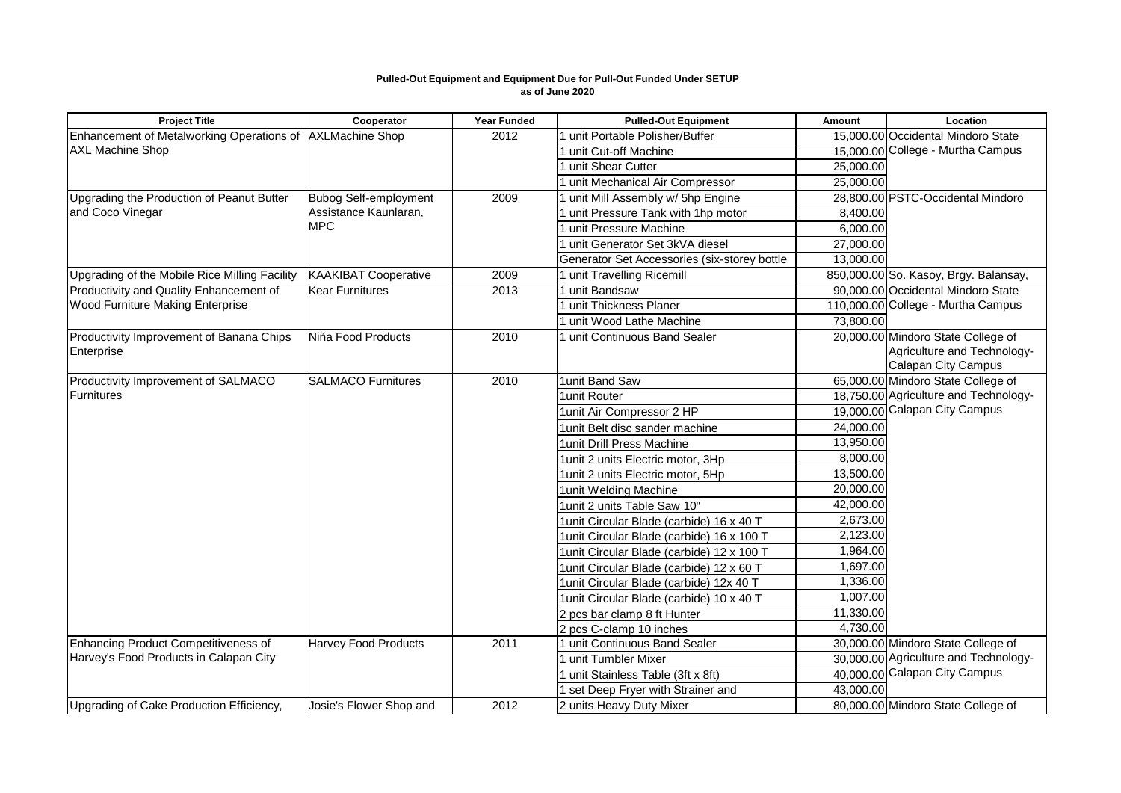## **Pulled-Out Equipment and Equipment Due for Pull-Out Funded Under SETUP as of June 2020**

| <b>Project Title</b>                                      | Cooperator                          | <b>Year Funded</b> | <b>Pulled-Out Equipment</b>                  | Amount                | Location                              |
|-----------------------------------------------------------|-------------------------------------|--------------------|----------------------------------------------|-----------------------|---------------------------------------|
| Enhancement of Metalworking Operations of AXLMachine Shop |                                     | 2012               | 1 unit Portable Polisher/Buffer              |                       | 15,000.00 Occidental Mindoro State    |
| <b>AXL Machine Shop</b>                                   |                                     |                    | 1 unit Cut-off Machine                       |                       | 15,000.00 College - Murtha Campus     |
|                                                           |                                     |                    | 1 unit Shear Cutter                          | 25,000.00             |                                       |
|                                                           |                                     |                    | 1 unit Mechanical Air Compressor             | 25,000.00             |                                       |
| Upgrading the Production of Peanut Butter                 | <b>Bubog Self-employment</b>        | 2009               | I unit Mill Assembly w/ 5hp Engine           |                       | 28,800.00 PSTC-Occidental Mindoro     |
| and Coco Vinegar                                          | Assistance Kaunlaran,<br><b>MPC</b> |                    | unit Pressure Tank with 1hp motor            | 8,400.00              |                                       |
|                                                           |                                     |                    | unit Pressure Machine                        | 6,000.00              |                                       |
|                                                           |                                     |                    | unit Generator Set 3kVA diesel               | 27,000.00             |                                       |
|                                                           |                                     |                    | Generator Set Accessories (six-storey bottle | 13,000.00             |                                       |
| Upgrading of the Mobile Rice Milling Facility             | <b>KAAKIBAT Cooperative</b>         | 2009               | 1 unit Travelling Ricemill                   |                       | 850,000.00 So. Kasoy, Brgy. Balansay, |
| Productivity and Quality Enhancement of                   | <b>Kear Furnitures</b>              | 2013               | 1 unit Bandsaw                               |                       | 90.000.00 Occidental Mindoro State    |
| Wood Furniture Making Enterprise                          |                                     |                    | 1 unit Thickness Planer                      |                       | 110,000.00 College - Murtha Campus    |
|                                                           |                                     |                    | 1 unit Wood Lathe Machine                    | 73,800.00             |                                       |
| Productivity Improvement of Banana Chips                  | Niña Food Products                  | 2010               | 1 unit Continuous Band Sealer                |                       | 20,000.00 Mindoro State College of    |
| Enterprise                                                |                                     |                    |                                              |                       | Agriculture and Technology-           |
|                                                           |                                     |                    |                                              |                       | <b>Calapan City Campus</b>            |
| Productivity Improvement of SALMACO                       | <b>SALMACO Furnitures</b>           | 2010               | 1unit Band Saw                               |                       | 65,000.00 Mindoro State College of    |
| Furnitures                                                |                                     |                    | 1unit Router                                 |                       | 18,750.00 Agriculture and Technology- |
|                                                           |                                     |                    | 1unit Air Compressor 2 HP                    |                       | 19,000.00 Calapan City Campus         |
|                                                           |                                     |                    | 1 unit Belt disc sander machine              | 24,000.00             |                                       |
|                                                           |                                     |                    | 1unit Drill Press Machine                    | 13,950.00             |                                       |
|                                                           |                                     |                    | 1 unit 2 units Electric motor, 3Hp           | 8,000.00              |                                       |
|                                                           |                                     |                    | 1unit 2 units Electric motor, 5Hp            | 13,500.00             |                                       |
|                                                           |                                     |                    | 1unit Welding Machine                        | 20,000.00             |                                       |
|                                                           |                                     |                    | 1unit 2 units Table Saw 10"                  | 42,000.00             |                                       |
|                                                           |                                     |                    | 1unit Circular Blade (carbide) 16 x 40 T     | $\overline{2,67}3.00$ |                                       |
|                                                           |                                     |                    | 1unit Circular Blade (carbide) 16 x 100 T    | 2,123.00              |                                       |
|                                                           |                                     |                    | 1unit Circular Blade (carbide) 12 x 100 T    | 1,964.00              |                                       |
|                                                           |                                     |                    | 1unit Circular Blade (carbide) 12 x 60 T     | 1,697.00              |                                       |
|                                                           |                                     |                    | 1unit Circular Blade (carbide) 12x 40 T      | 1,336.00              |                                       |
|                                                           |                                     |                    | 1unit Circular Blade (carbide) 10 x 40 T     | 1,007.00              |                                       |
|                                                           |                                     |                    | 2 pcs bar clamp 8 ft Hunter                  | 11,330.00             |                                       |
|                                                           |                                     |                    | 2 pcs C-clamp 10 inches                      | 4,730.00              |                                       |
| Enhancing Product Competitiveness of                      | <b>Harvey Food Products</b>         | 2011               | 1 unit Continuous Band Sealer                |                       | 30,000.00 Mindoro State College of    |
| Harvey's Food Products in Calapan City                    |                                     |                    | 1 unit Tumbler Mixer                         |                       | 30,000.00 Agriculture and Technology- |
|                                                           |                                     |                    | I unit Stainless Table (3ft x 8ft)           |                       | 40,000.00 Calapan City Campus         |
|                                                           |                                     |                    | I set Deep Fryer with Strainer and           | 43,000.00             |                                       |
| Upgrading of Cake Production Efficiency,                  | Josie's Flower Shop and             | 2012               | 2 units Heavy Duty Mixer                     |                       | 80,000.00 Mindoro State College of    |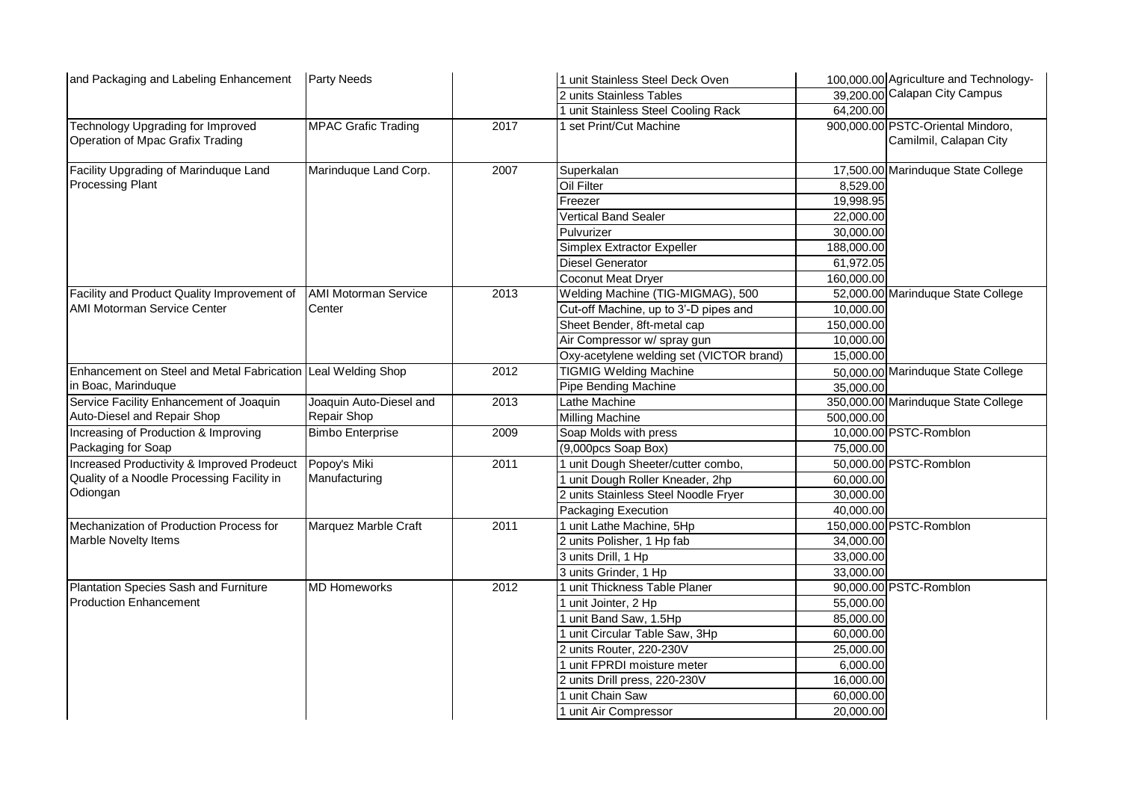| and Packaging and Labeling Enhancement                                       | <b>Party Needs</b>            |      | 1 unit Stainless Steel Deck Oven         |            | 100,000.00 Agriculture and Technology-                      |
|------------------------------------------------------------------------------|-------------------------------|------|------------------------------------------|------------|-------------------------------------------------------------|
|                                                                              |                               |      | 2 units Stainless Tables                 |            | 39,200.00 Calapan City Campus                               |
|                                                                              |                               |      | 1 unit Stainless Steel Cooling Rack      | 64,200.00  |                                                             |
| <b>Technology Upgrading for Improved</b><br>Operation of Mpac Grafix Trading | <b>MPAC Grafic Trading</b>    | 2017 | 1 set Print/Cut Machine                  |            | 900,000.00 PSTC-Oriental Mindoro,<br>Camilmil, Calapan City |
| Facility Upgrading of Marinduque Land<br><b>Processing Plant</b>             | Marinduque Land Corp.         | 2007 | Superkalan                               |            | 17,500.00 Marinduque State College                          |
|                                                                              |                               |      | Oil Filter                               | 8,529.00   |                                                             |
|                                                                              |                               |      | Freezer                                  | 19,998.95  |                                                             |
|                                                                              |                               |      | <b>Vertical Band Sealer</b>              | 22,000.00  |                                                             |
|                                                                              |                               |      | Pulvurizer                               | 30,000.00  |                                                             |
|                                                                              |                               |      | Simplex Extractor Expeller               | 188,000.00 |                                                             |
|                                                                              |                               |      | <b>Diesel Generator</b>                  | 61,972.05  |                                                             |
|                                                                              |                               |      | Coconut Meat Dryer                       | 160,000.00 |                                                             |
| Facility and Product Quality Improvement of                                  | <b>AMI Motorman Service</b>   | 2013 | Welding Machine (TIG-MIGMAG), 500        |            | 52,000.00 Marinduque State College                          |
| <b>AMI Motorman Service Center</b>                                           | Center                        |      | Cut-off Machine, up to 3'-D pipes and    | 10,000.00  |                                                             |
|                                                                              |                               |      | Sheet Bender, 8ft-metal cap              | 150,000.00 |                                                             |
|                                                                              |                               |      | Air Compressor w/ spray gun              | 10,000.00  |                                                             |
|                                                                              |                               |      | Oxy-acetylene welding set (VICTOR brand) | 15,000.00  |                                                             |
| Enhancement on Steel and Metal Fabrication Leal Welding Shop                 |                               | 2012 | <b>TIGMIG Welding Machine</b>            |            | 50,000.00 Marinduque State College                          |
| in Boac, Marinduque                                                          |                               |      | Pipe Bending Machine                     | 35,000.00  |                                                             |
| Service Facility Enhancement of Joaquin                                      | Joaquin Auto-Diesel and       | 2013 | Lathe Machine                            |            | 350,000.00 Marinduque State College                         |
| Auto-Diesel and Repair Shop                                                  | Repair Shop                   |      | Milling Machine                          | 500,000.00 |                                                             |
| Increasing of Production & Improving                                         | <b>Bimbo Enterprise</b>       | 2009 | Soap Molds with press                    |            | 10,000.00 PSTC-Romblon                                      |
| Packaging for Soap                                                           |                               |      | (9,000pcs Soap Box)                      | 75,000.00  |                                                             |
| Increased Productivity & Improved Prodeuct                                   | Popoy's Miki<br>Manufacturing | 2011 | 1 unit Dough Sheeter/cutter combo,       |            | 50,000.00 PSTC-Romblon                                      |
| Quality of a Noodle Processing Facility in<br>Odiongan                       |                               |      | 1 unit Dough Roller Kneader, 2hp         | 60,000.00  |                                                             |
|                                                                              |                               |      | 2 units Stainless Steel Noodle Fryer     | 30,000.00  |                                                             |
|                                                                              |                               |      | Packaging Execution                      | 40,000.00  |                                                             |
| Mechanization of Production Process for<br><b>Marble Novelty Items</b>       | Marquez Marble Craft          | 2011 | 1 unit Lathe Machine, 5Hp                |            | 150,000.00 PSTC-Romblon                                     |
|                                                                              |                               |      | 2 units Polisher, 1 Hp fab               | 34,000.00  |                                                             |
|                                                                              |                               |      | 3 units Drill, 1 Hp                      | 33,000.00  |                                                             |
|                                                                              |                               |      | 3 units Grinder, 1 Hp                    | 33,000.00  |                                                             |
| Plantation Species Sash and Furniture<br><b>Production Enhancement</b>       | <b>MD Homeworks</b>           | 2012 | 1 unit Thickness Table Planer            |            | 90,000.00 PSTC-Romblon                                      |
|                                                                              |                               |      | 1 unit Jointer, 2 Hp                     | 55,000.00  |                                                             |
|                                                                              |                               |      | 1 unit Band Saw, 1.5Hp                   | 85,000.00  |                                                             |
|                                                                              |                               |      | 1 unit Circular Table Saw, 3Hp           | 60,000.00  |                                                             |
|                                                                              |                               |      | 2 units Router, 220-230V                 | 25,000.00  |                                                             |
|                                                                              |                               |      | 1 unit FPRDI moisture meter              | 6,000.00   |                                                             |
|                                                                              |                               |      | 2 units Drill press, 220-230V            | 16,000.00  |                                                             |
|                                                                              |                               |      | 1 unit Chain Saw                         | 60,000.00  |                                                             |
|                                                                              |                               |      | 1 unit Air Compressor                    | 20,000.00  |                                                             |